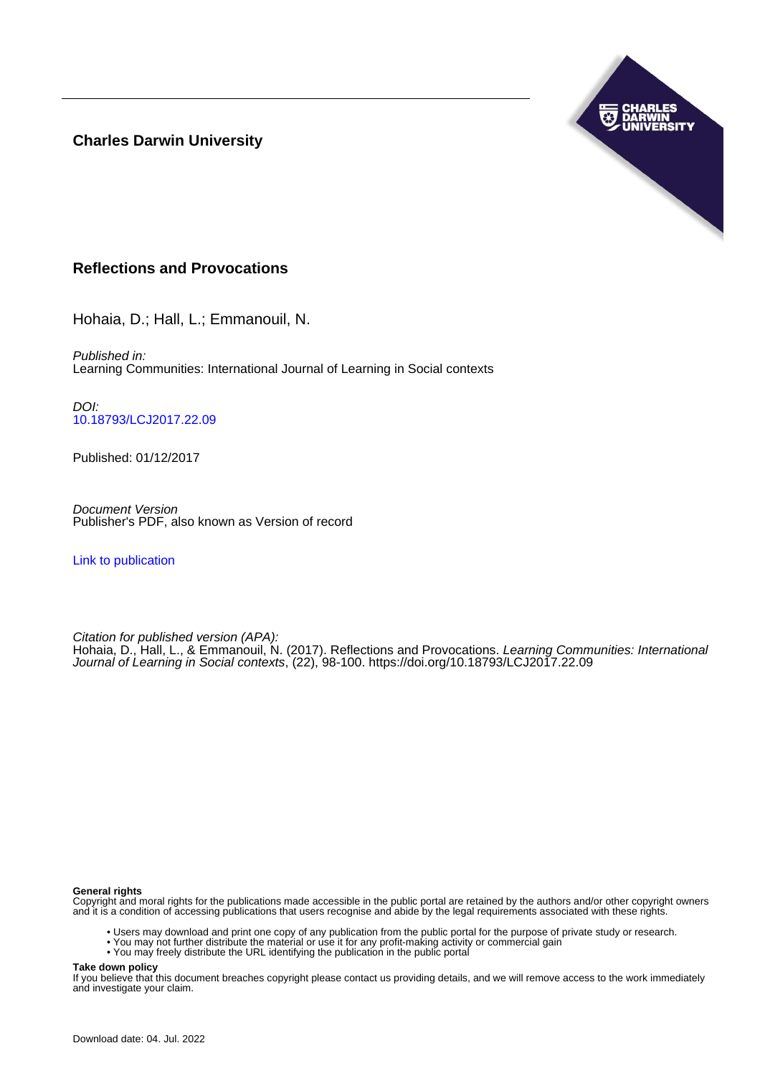**Charles Darwin University**



## **Reflections and Provocations**

Hohaia, D.; Hall, L.; Emmanouil, N.

Published in: Learning Communities: International Journal of Learning in Social contexts

DOI: [10.18793/LCJ2017.22.09](https://doi.org/10.18793/LCJ2017.22.09)

Published: 01/12/2017

Document Version Publisher's PDF, also known as Version of record

[Link to publication](https://researchers.cdu.edu.au/en/publications/fc553d68-2c58-4da6-9cab-ac6d78263b05)

Citation for published version (APA):

Hohaia, D., Hall, L., & Emmanouil, N. (2017). Reflections and Provocations. Learning Communities: International Journal of Learning in Social contexts, (22), 98-100. <https://doi.org/10.18793/LCJ2017.22.09>

#### **General rights**

Copyright and moral rights for the publications made accessible in the public portal are retained by the authors and/or other copyright owners and it is a condition of accessing publications that users recognise and abide by the legal requirements associated with these rights.

- Users may download and print one copy of any publication from the public portal for the purpose of private study or research.
- You may not further distribute the material or use it for any profit-making activity or commercial gain
- You may freely distribute the URL identifying the publication in the public portal

**Take down policy**

If you believe that this document breaches copyright please contact us providing details, and we will remove access to the work immediately and investigate your claim.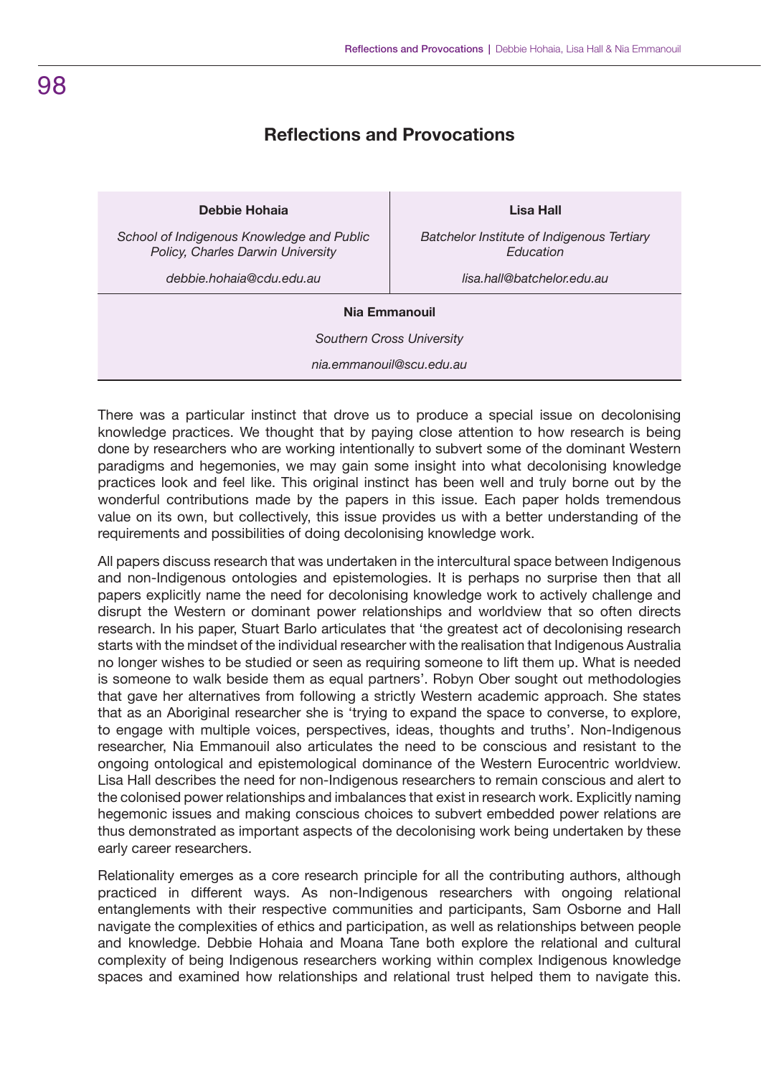## **Reflections and Provocations**

### **Debbie Hohaia**

*School of Indigenous Knowledge and Public Policy, Charles Darwin University*

*debbie.hohaia@cdu.edu.au*

**Lisa Hall**

*Batchelor Institute of Indigenous Tertiary Education*

*lisa.hall@batchelor.edu.au*

#### **Nia Emmanouil**

*Southern Cross University*

*nia.emmanouil@scu.edu.au*

There was a particular instinct that drove us to produce a special issue on decolonising knowledge practices. We thought that by paying close attention to how research is being done by researchers who are working intentionally to subvert some of the dominant Western paradigms and hegemonies, we may gain some insight into what decolonising knowledge practices look and feel like. This original instinct has been well and truly borne out by the wonderful contributions made by the papers in this issue. Each paper holds tremendous value on its own, but collectively, this issue provides us with a better understanding of the requirements and possibilities of doing decolonising knowledge work.

All papers discuss research that was undertaken in the intercultural space between Indigenous and non-Indigenous ontologies and epistemologies. It is perhaps no surprise then that all papers explicitly name the need for decolonising knowledge work to actively challenge and disrupt the Western or dominant power relationships and worldview that so often directs research. In his paper, Stuart Barlo articulates that 'the greatest act of decolonising research starts with the mindset of the individual researcher with the realisation that Indigenous Australia no longer wishes to be studied or seen as requiring someone to lift them up. What is needed is someone to walk beside them as equal partners'. Robyn Ober sought out methodologies that gave her alternatives from following a strictly Western academic approach. She states that as an Aboriginal researcher she is 'trying to expand the space to converse, to explore, to engage with multiple voices, perspectives, ideas, thoughts and truths'. Non-Indigenous researcher, Nia Emmanouil also articulates the need to be conscious and resistant to the ongoing ontological and epistemological dominance of the Western Eurocentric worldview. Lisa Hall describes the need for non-Indigenous researchers to remain conscious and alert to the colonised power relationships and imbalances that exist in research work. Explicitly naming hegemonic issues and making conscious choices to subvert embedded power relations are thus demonstrated as important aspects of the decolonising work being undertaken by these early career researchers.

Relationality emerges as a core research principle for all the contributing authors, although practiced in different ways. As non-Indigenous researchers with ongoing relational entanglements with their respective communities and participants, Sam Osborne and Hall navigate the complexities of ethics and participation, as well as relationships between people and knowledge. Debbie Hohaia and Moana Tane both explore the relational and cultural complexity of being Indigenous researchers working within complex Indigenous knowledge spaces and examined how relationships and relational trust helped them to navigate this.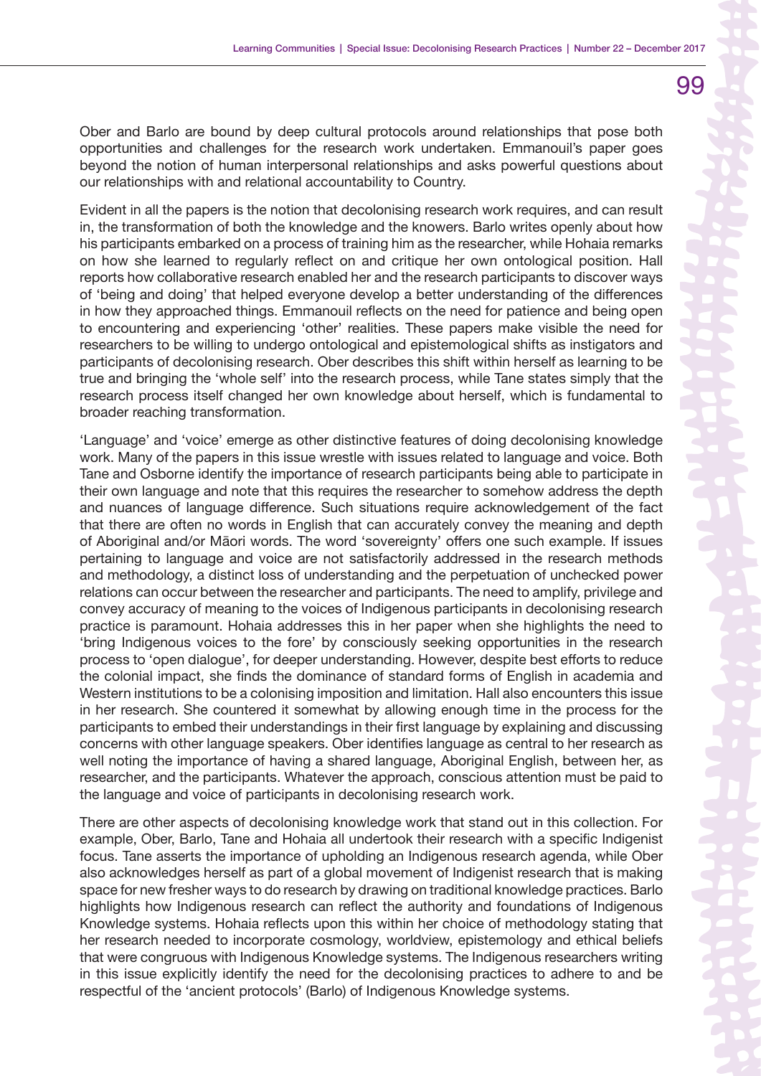Ober and Barlo are bound by deep cultural protocols around relationships that pose both opportunities and challenges for the research work undertaken. Emmanouil's paper goes beyond the notion of human interpersonal relationships and asks powerful questions about our relationships with and relational accountability to Country.

Evident in all the papers is the notion that decolonising research work requires, and can result in, the transformation of both the knowledge and the knowers. Barlo writes openly about how his participants embarked on a process of training him as the researcher, while Hohaia remarks on how she learned to regularly reflect on and critique her own ontological position. Hall reports how collaborative research enabled her and the research participants to discover ways of 'being and doing' that helped everyone develop a better understanding of the differences in how they approached things. Emmanouil reflects on the need for patience and being open to encountering and experiencing 'other' realities. These papers make visible the need for researchers to be willing to undergo ontological and epistemological shifts as instigators and participants of decolonising research. Ober describes this shift within herself as learning to be true and bringing the 'whole self' into the research process, while Tane states simply that the research process itself changed her own knowledge about herself, which is fundamental to broader reaching transformation.

'Language' and 'voice' emerge as other distinctive features of doing decolonising knowledge work. Many of the papers in this issue wrestle with issues related to language and voice. Both Tane and Osborne identify the importance of research participants being able to participate in their own language and note that this requires the researcher to somehow address the depth and nuances of language difference. Such situations require acknowledgement of the fact that there are often no words in English that can accurately convey the meaning and depth of Aboriginal and/or Māori words. The word 'sovereignty' offers one such example. If issues pertaining to language and voice are not satisfactorily addressed in the research methods and methodology, a distinct loss of understanding and the perpetuation of unchecked power relations can occur between the researcher and participants. The need to amplify, privilege and convey accuracy of meaning to the voices of Indigenous participants in decolonising research practice is paramount. Hohaia addresses this in her paper when she highlights the need to 'bring Indigenous voices to the fore' by consciously seeking opportunities in the research process to 'open dialogue', for deeper understanding. However, despite best efforts to reduce the colonial impact, she finds the dominance of standard forms of English in academia and Western institutions to be a colonising imposition and limitation. Hall also encounters this issue in her research. She countered it somewhat by allowing enough time in the process for the participants to embed their understandings in their first language by explaining and discussing concerns with other language speakers. Ober identifies language as central to her research as well noting the importance of having a shared language, Aboriginal English, between her, as researcher, and the participants. Whatever the approach, conscious attention must be paid to the language and voice of participants in decolonising research work.

There are other aspects of decolonising knowledge work that stand out in this collection. For example, Ober, Barlo, Tane and Hohaia all undertook their research with a specific Indigenist focus. Tane asserts the importance of upholding an Indigenous research agenda, while Ober also acknowledges herself as part of a global movement of Indigenist research that is making space for new fresher ways to do research by drawing on traditional knowledge practices. Barlo highlights how Indigenous research can reflect the authority and foundations of Indigenous Knowledge systems. Hohaia reflects upon this within her choice of methodology stating that her research needed to incorporate cosmology, worldview, epistemology and ethical beliefs that were congruous with Indigenous Knowledge systems. The Indigenous researchers writing in this issue explicitly identify the need for the decolonising practices to adhere to and be respectful of the 'ancient protocols' (Barlo) of Indigenous Knowledge systems.